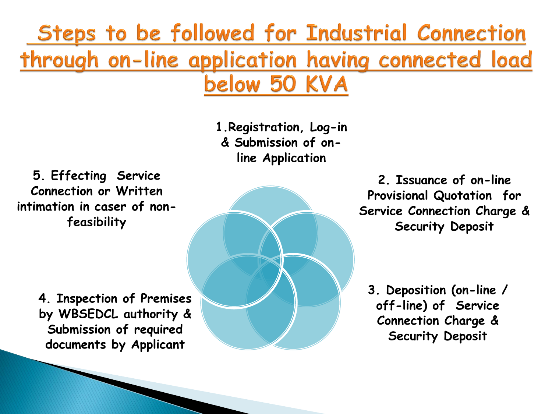Steps to be followed for Industrial Connection through on-line application having connected load below 50 KVA

> **1.Registration, Log-in & Submission of online Application**

**5. Effecting Service Connection or Written intimation in caser of nonfeasibility**

> **4. Inspection of Premises by WBSEDCL authority & Submission of required documents by Applicant**

**2. Issuance of on-line Provisional Quotation for Service Connection Charge & Security Deposit**

**3. Deposition (on-line / off-line) of Service Connection Charge & Security Deposit**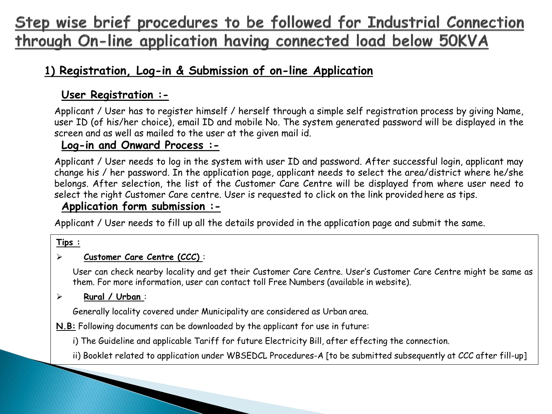# Step wise brief procedures to be followed for Industrial Connection through On-line application having connected load below 50KVA

## **1) Registration, Log-in & Submission of on-line Application**

### **User Registration :-**

Applicant / User has to register himself / herself through a simple self registration process by giving Name, user ID (of his/her choice), email ID and mobile No. The system generated password will be displayed in the screen and as well as mailed to the user at the given mail id.

### **Log-in and Onward Process :-**

Applicant / User needs to log in the system with user ID and password. After successful login, applicant may change his / her password. In the application page, applicant needs to select the area/district where he/she belongs. After selection, the list of the Customer Care Centre will be displayed from where user need to select the right Customer Care centre. User is requested to click on the link provided here as tips.

### **Application form submission :-**

Applicant / User needs to fill up all the details provided in the application page and submit the same.

#### **Tips :**

#### **Customer Care Centre (CCC)** :

User can check nearby locality and get their Customer Care Centre. User's Customer Care Centre might be same as them. For more information, user can contact toll Free Numbers (available in website).

#### **Rural / Urban** :

Generally locality covered under Municipality are considered as Urban area.

**N.B:** Following documents can be downloaded by the applicant for use in future:

i) The Guideline and applicable Tariff for future Electricity Bill, after effecting the connection.

ii) Booklet related to application under WBSEDCL Procedures-A [to be submitted subsequently at CCC after fill-up]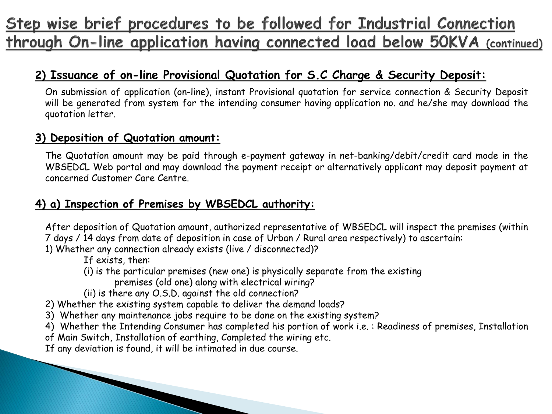# Step wise brief procedures to be followed for Industrial Connection through On-line application having connected load below 50KVA (continued)

## **2) Issuance of on-line Provisional Quotation for S.C Charge & Security Deposit:**

On submission of application (on-line), instant Provisional quotation for service connection & Security Deposit will be generated from system for the intending consumer having application no. and he/she may download the quotation letter.

### **3) Deposition of Quotation amount:**

The Quotation amount may be paid through e-payment gateway in net-banking/debit/credit card mode in the WBSEDCL Web portal and may download the payment receipt or alternatively applicant may deposit payment at concerned Customer Care Centre.

### **4) a) Inspection of Premises by WBSEDCL authority:**

After deposition of Quotation amount, authorized representative of WBSEDCL will inspect the premises (within 7 days / 14 days from date of deposition in case of Urban / Rural area respectively) to ascertain:

1) Whether any connection already exists (live / disconnected)?

If exists, then:

(i) is the particular premises (new one) is physically separate from the existing

premises (old one) along with electrical wiring?

(ii) is there any O.S.D. against the old connection?

2) Whether the existing system capable to deliver the demand loads?

3) Whether any maintenance jobs require to be done on the existing system?

4) Whether the Intending Consumer has completed his portion of work i.e. : Readiness of premises, Installation

of Main Switch, Installation of earthing, Completed the wiring etc.

If any deviation is found, it will be intimated in due course.